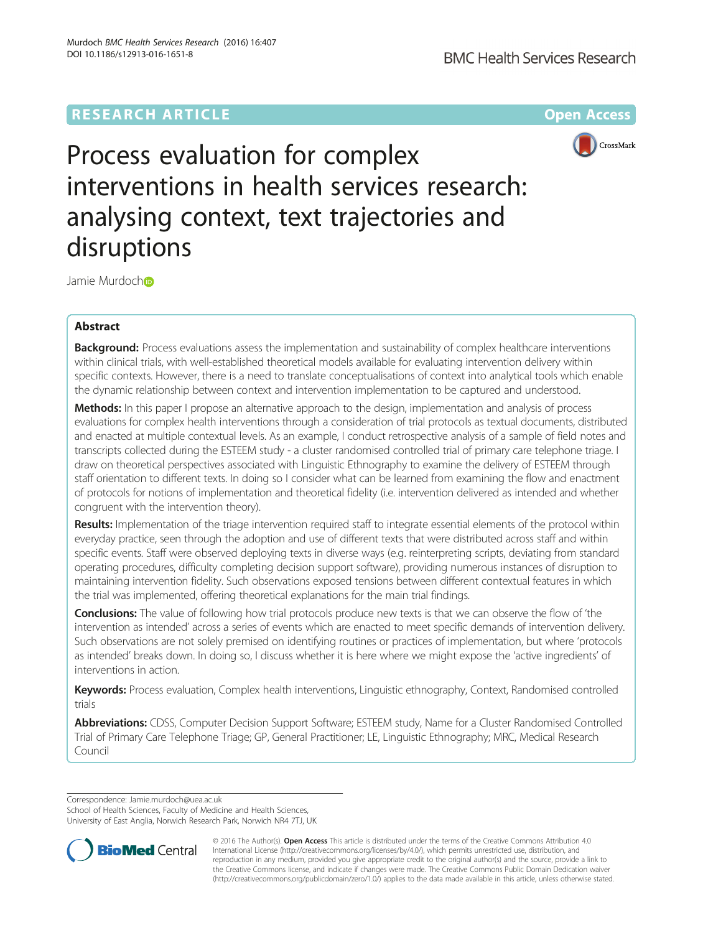# **RESEARCH ARTICLE Example 2014 12:30 The Company Access** (RESEARCH ARTICLE



Process evaluation for complex interventions in health services research: analysing context, text trajectories and disruptions

Jamie Murdocho

# Abstract

Background: Process evaluations assess the implementation and sustainability of complex healthcare interventions within clinical trials, with well-established theoretical models available for evaluating intervention delivery within specific contexts. However, there is a need to translate conceptualisations of context into analytical tools which enable the dynamic relationship between context and intervention implementation to be captured and understood.

Methods: In this paper I propose an alternative approach to the design, implementation and analysis of process evaluations for complex health interventions through a consideration of trial protocols as textual documents, distributed and enacted at multiple contextual levels. As an example, I conduct retrospective analysis of a sample of field notes and transcripts collected during the ESTEEM study - a cluster randomised controlled trial of primary care telephone triage. I draw on theoretical perspectives associated with Linguistic Ethnography to examine the delivery of ESTEEM through staff orientation to different texts. In doing so I consider what can be learned from examining the flow and enactment of protocols for notions of implementation and theoretical fidelity (i.e. intervention delivered as intended and whether congruent with the intervention theory).

Results: Implementation of the triage intervention required staff to integrate essential elements of the protocol within everyday practice, seen through the adoption and use of different texts that were distributed across staff and within specific events. Staff were observed deploying texts in diverse ways (e.g. reinterpreting scripts, deviating from standard operating procedures, difficulty completing decision support software), providing numerous instances of disruption to maintaining intervention fidelity. Such observations exposed tensions between different contextual features in which the trial was implemented, offering theoretical explanations for the main trial findings.

**Conclusions:** The value of following how trial protocols produce new texts is that we can observe the flow of 'the intervention as intended' across a series of events which are enacted to meet specific demands of intervention delivery. Such observations are not solely premised on identifying routines or practices of implementation, but where 'protocols as intended' breaks down. In doing so, I discuss whether it is here where we might expose the 'active ingredients' of interventions in action.

Keywords: Process evaluation, Complex health interventions, Linguistic ethnography, Context, Randomised controlled trials

Abbreviations: CDSS, Computer Decision Support Software; ESTEEM study, Name for a Cluster Randomised Controlled Trial of Primary Care Telephone Triage; GP, General Practitioner; LE, Linguistic Ethnography; MRC, Medical Research Council

Correspondence: [Jamie.murdoch@uea.ac.uk](mailto:Jamie.murdoch@uea.ac.uk)

School of Health Sciences, Faculty of Medicine and Health Sciences,

University of East Anglia, Norwich Research Park, Norwich NR4 7TJ, UK



© 2016 The Author(s). Open Access This article is distributed under the terms of the Creative Commons Attribution 4.0 International License [\(http://creativecommons.org/licenses/by/4.0/](http://creativecommons.org/licenses/by/4.0/)), which permits unrestricted use, distribution, and reproduction in any medium, provided you give appropriate credit to the original author(s) and the source, provide a link to the Creative Commons license, and indicate if changes were made. The Creative Commons Public Domain Dedication waiver [\(http://creativecommons.org/publicdomain/zero/1.0/](http://creativecommons.org/publicdomain/zero/1.0/)) applies to the data made available in this article, unless otherwise stated.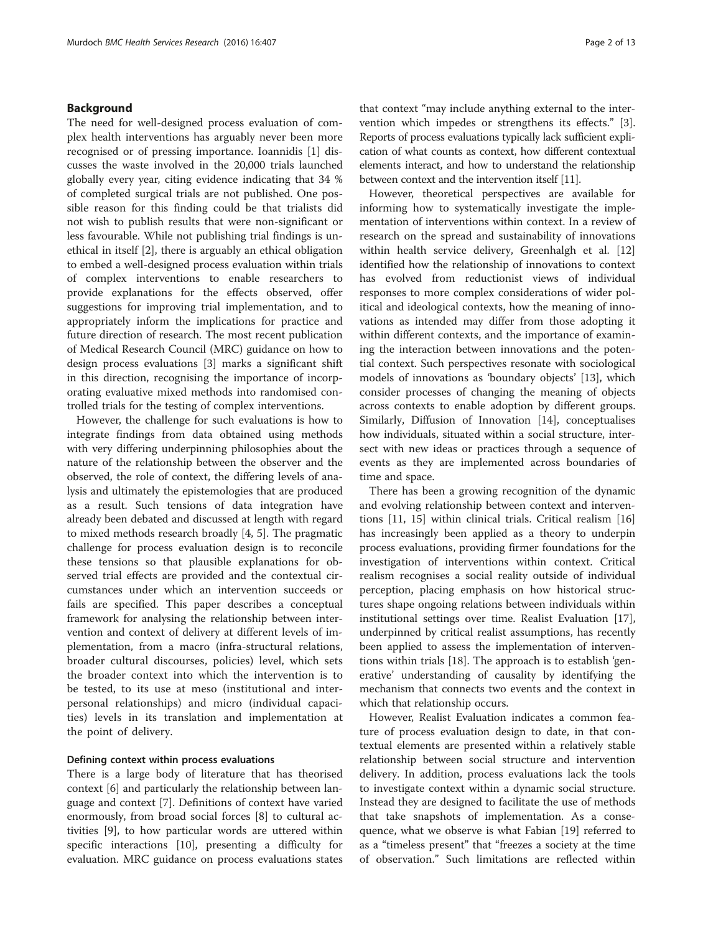## Background

The need for well-designed process evaluation of complex health interventions has arguably never been more recognised or of pressing importance. Ioannidis [\[1](#page-11-0)] discusses the waste involved in the 20,000 trials launched globally every year, citing evidence indicating that 34 % of completed surgical trials are not published. One possible reason for this finding could be that trialists did not wish to publish results that were non-significant or less favourable. While not publishing trial findings is unethical in itself [\[2\]](#page-11-0), there is arguably an ethical obligation to embed a well-designed process evaluation within trials of complex interventions to enable researchers to provide explanations for the effects observed, offer suggestions for improving trial implementation, and to appropriately inform the implications for practice and future direction of research. The most recent publication of Medical Research Council (MRC) guidance on how to design process evaluations [\[3](#page-11-0)] marks a significant shift in this direction, recognising the importance of incorporating evaluative mixed methods into randomised controlled trials for the testing of complex interventions.

However, the challenge for such evaluations is how to integrate findings from data obtained using methods with very differing underpinning philosophies about the nature of the relationship between the observer and the observed, the role of context, the differing levels of analysis and ultimately the epistemologies that are produced as a result. Such tensions of data integration have already been debated and discussed at length with regard to mixed methods research broadly [[4, 5\]](#page-11-0). The pragmatic challenge for process evaluation design is to reconcile these tensions so that plausible explanations for observed trial effects are provided and the contextual circumstances under which an intervention succeeds or fails are specified. This paper describes a conceptual framework for analysing the relationship between intervention and context of delivery at different levels of implementation, from a macro (infra-structural relations, broader cultural discourses, policies) level, which sets the broader context into which the intervention is to be tested, to its use at meso (institutional and interpersonal relationships) and micro (individual capacities) levels in its translation and implementation at the point of delivery.

# Defining context within process evaluations

There is a large body of literature that has theorised context [\[6](#page-11-0)] and particularly the relationship between language and context [\[7\]](#page-11-0). Definitions of context have varied enormously, from broad social forces [\[8](#page-11-0)] to cultural activities [\[9\]](#page-11-0), to how particular words are uttered within specific interactions [\[10](#page-11-0)], presenting a difficulty for evaluation. MRC guidance on process evaluations states

that context "may include anything external to the intervention which impedes or strengthens its effects." [\[3](#page-11-0)]. Reports of process evaluations typically lack sufficient explication of what counts as context, how different contextual elements interact, and how to understand the relationship between context and the intervention itself [\[11](#page-11-0)].

However, theoretical perspectives are available for informing how to systematically investigate the implementation of interventions within context. In a review of research on the spread and sustainability of innovations within health service delivery, Greenhalgh et al. [[12](#page-11-0)] identified how the relationship of innovations to context has evolved from reductionist views of individual responses to more complex considerations of wider political and ideological contexts, how the meaning of innovations as intended may differ from those adopting it within different contexts, and the importance of examining the interaction between innovations and the potential context. Such perspectives resonate with sociological models of innovations as 'boundary objects' [\[13\]](#page-12-0), which consider processes of changing the meaning of objects across contexts to enable adoption by different groups. Similarly, Diffusion of Innovation [[14\]](#page-12-0), conceptualises how individuals, situated within a social structure, intersect with new ideas or practices through a sequence of events as they are implemented across boundaries of time and space.

There has been a growing recognition of the dynamic and evolving relationship between context and interventions [\[11,](#page-11-0) [15\]](#page-12-0) within clinical trials. Critical realism [[16](#page-12-0)] has increasingly been applied as a theory to underpin process evaluations, providing firmer foundations for the investigation of interventions within context. Critical realism recognises a social reality outside of individual perception, placing emphasis on how historical structures shape ongoing relations between individuals within institutional settings over time. Realist Evaluation [\[17](#page-12-0)], underpinned by critical realist assumptions, has recently been applied to assess the implementation of interventions within trials [[18\]](#page-12-0). The approach is to establish 'generative' understanding of causality by identifying the mechanism that connects two events and the context in which that relationship occurs.

However, Realist Evaluation indicates a common feature of process evaluation design to date, in that contextual elements are presented within a relatively stable relationship between social structure and intervention delivery. In addition, process evaluations lack the tools to investigate context within a dynamic social structure. Instead they are designed to facilitate the use of methods that take snapshots of implementation. As a consequence, what we observe is what Fabian [\[19\]](#page-12-0) referred to as a "timeless present" that "freezes a society at the time of observation." Such limitations are reflected within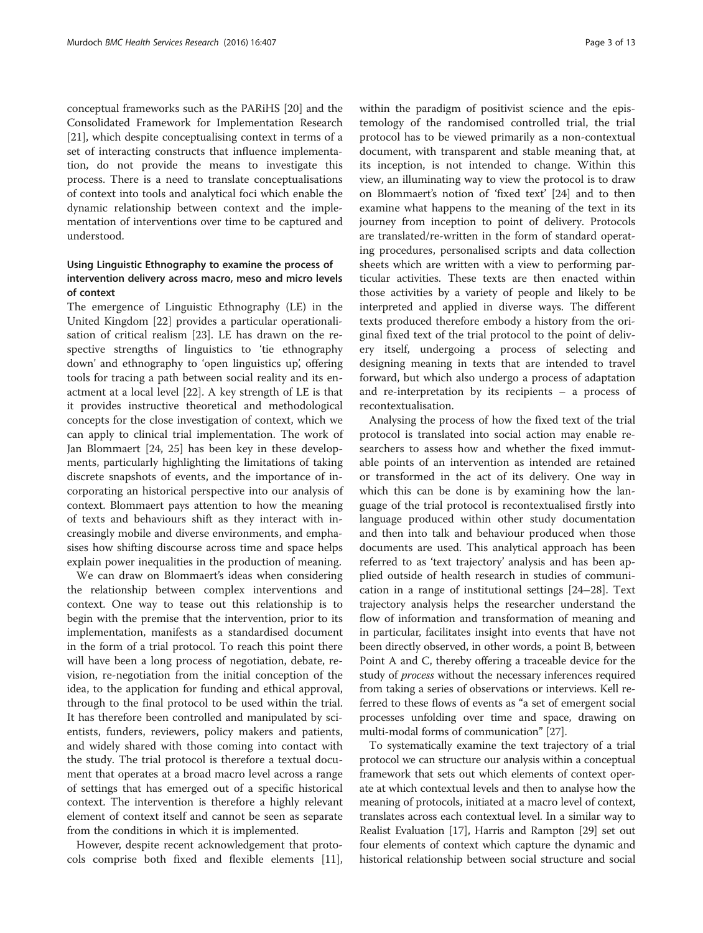conceptual frameworks such as the PARiHS [[20](#page-12-0)] and the Consolidated Framework for Implementation Research [[21\]](#page-12-0), which despite conceptualising context in terms of a set of interacting constructs that influence implementation, do not provide the means to investigate this process. There is a need to translate conceptualisations of context into tools and analytical foci which enable the dynamic relationship between context and the implementation of interventions over time to be captured and understood.

# Using Linguistic Ethnography to examine the process of intervention delivery across macro, meso and micro levels of context

The emergence of Linguistic Ethnography (LE) in the United Kingdom [[22\]](#page-12-0) provides a particular operationalisation of critical realism [[23\]](#page-12-0). LE has drawn on the respective strengths of linguistics to 'tie ethnography down' and ethnography to 'open linguistics up', offering tools for tracing a path between social reality and its enactment at a local level [[22\]](#page-12-0). A key strength of LE is that it provides instructive theoretical and methodological concepts for the close investigation of context, which we can apply to clinical trial implementation. The work of Jan Blommaert [\[24](#page-12-0), [25](#page-12-0)] has been key in these developments, particularly highlighting the limitations of taking discrete snapshots of events, and the importance of incorporating an historical perspective into our analysis of context. Blommaert pays attention to how the meaning of texts and behaviours shift as they interact with increasingly mobile and diverse environments, and emphasises how shifting discourse across time and space helps explain power inequalities in the production of meaning.

We can draw on Blommaert's ideas when considering the relationship between complex interventions and context. One way to tease out this relationship is to begin with the premise that the intervention, prior to its implementation, manifests as a standardised document in the form of a trial protocol. To reach this point there will have been a long process of negotiation, debate, revision, re-negotiation from the initial conception of the idea, to the application for funding and ethical approval, through to the final protocol to be used within the trial. It has therefore been controlled and manipulated by scientists, funders, reviewers, policy makers and patients, and widely shared with those coming into contact with the study. The trial protocol is therefore a textual document that operates at a broad macro level across a range of settings that has emerged out of a specific historical context. The intervention is therefore a highly relevant element of context itself and cannot be seen as separate from the conditions in which it is implemented.

However, despite recent acknowledgement that protocols comprise both fixed and flexible elements [\[11](#page-11-0)],

within the paradigm of positivist science and the epistemology of the randomised controlled trial, the trial protocol has to be viewed primarily as a non-contextual document, with transparent and stable meaning that, at its inception, is not intended to change. Within this view, an illuminating way to view the protocol is to draw on Blommaert's notion of 'fixed text' [[24](#page-12-0)] and to then examine what happens to the meaning of the text in its journey from inception to point of delivery. Protocols are translated/re-written in the form of standard operating procedures, personalised scripts and data collection sheets which are written with a view to performing particular activities. These texts are then enacted within those activities by a variety of people and likely to be interpreted and applied in diverse ways. The different texts produced therefore embody a history from the original fixed text of the trial protocol to the point of delivery itself, undergoing a process of selecting and designing meaning in texts that are intended to travel forward, but which also undergo a process of adaptation and re-interpretation by its recipients – a process of recontextualisation.

Analysing the process of how the fixed text of the trial protocol is translated into social action may enable researchers to assess how and whether the fixed immutable points of an intervention as intended are retained or transformed in the act of its delivery. One way in which this can be done is by examining how the language of the trial protocol is recontextualised firstly into language produced within other study documentation and then into talk and behaviour produced when those documents are used. This analytical approach has been referred to as 'text trajectory' analysis and has been applied outside of health research in studies of communication in a range of institutional settings [[24](#page-12-0)–[28](#page-12-0)]. Text trajectory analysis helps the researcher understand the flow of information and transformation of meaning and in particular, facilitates insight into events that have not been directly observed, in other words, a point B, between Point A and C, thereby offering a traceable device for the study of process without the necessary inferences required from taking a series of observations or interviews. Kell referred to these flows of events as "a set of emergent social processes unfolding over time and space, drawing on multi-modal forms of communication" [[27](#page-12-0)].

To systematically examine the text trajectory of a trial protocol we can structure our analysis within a conceptual framework that sets out which elements of context operate at which contextual levels and then to analyse how the meaning of protocols, initiated at a macro level of context, translates across each contextual level. In a similar way to Realist Evaluation [[17](#page-12-0)], Harris and Rampton [[29](#page-12-0)] set out four elements of context which capture the dynamic and historical relationship between social structure and social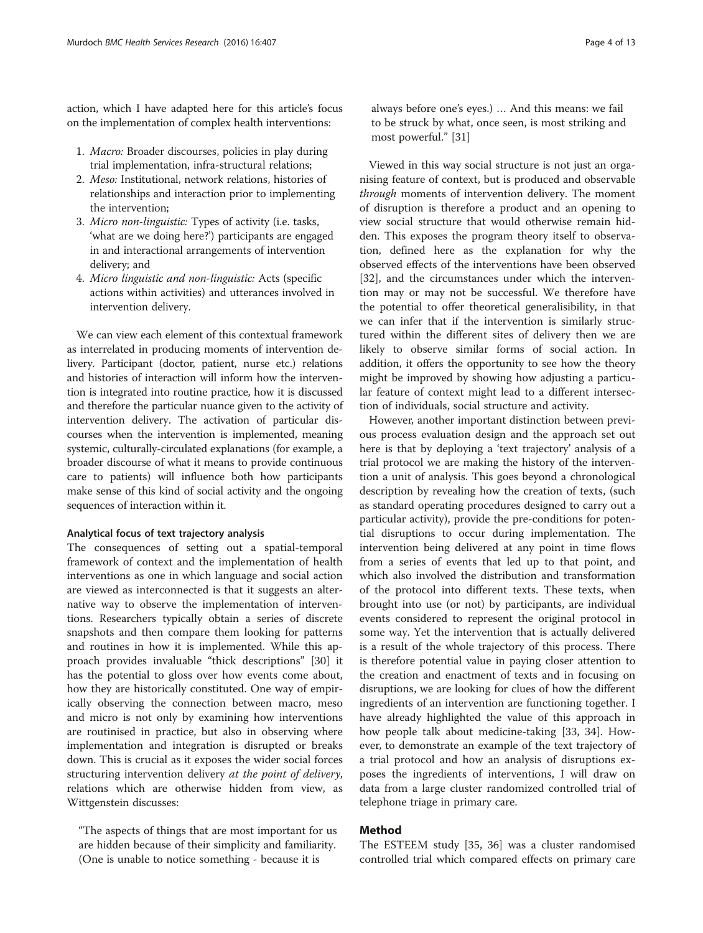action, which I have adapted here for this article's focus on the implementation of complex health interventions:

- 1. Macro: Broader discourses, policies in play during trial implementation, infra-structural relations;
- 2. Meso: Institutional, network relations, histories of relationships and interaction prior to implementing the intervention;
- 3. Micro non-linguistic: Types of activity (i.e. tasks, 'what are we doing here?') participants are engaged in and interactional arrangements of intervention delivery; and
- 4. Micro linguistic and non-linguistic: Acts (specific actions within activities) and utterances involved in intervention delivery.

We can view each element of this contextual framework as interrelated in producing moments of intervention delivery. Participant (doctor, patient, nurse etc.) relations and histories of interaction will inform how the intervention is integrated into routine practice, how it is discussed and therefore the particular nuance given to the activity of intervention delivery. The activation of particular discourses when the intervention is implemented, meaning systemic, culturally-circulated explanations (for example, a broader discourse of what it means to provide continuous care to patients) will influence both how participants make sense of this kind of social activity and the ongoing sequences of interaction within it.

#### Analytical focus of text trajectory analysis

The consequences of setting out a spatial-temporal framework of context and the implementation of health interventions as one in which language and social action are viewed as interconnected is that it suggests an alternative way to observe the implementation of interventions. Researchers typically obtain a series of discrete snapshots and then compare them looking for patterns and routines in how it is implemented. While this approach provides invaluable "thick descriptions" [[30](#page-12-0)] it has the potential to gloss over how events come about, how they are historically constituted. One way of empirically observing the connection between macro, meso and micro is not only by examining how interventions are routinised in practice, but also in observing where implementation and integration is disrupted or breaks down. This is crucial as it exposes the wider social forces structuring intervention delivery at the point of delivery, relations which are otherwise hidden from view, as Wittgenstein discusses:

"The aspects of things that are most important for us are hidden because of their simplicity and familiarity. (One is unable to notice something - because it is

always before one's eyes.) … And this means: we fail to be struck by what, once seen, is most striking and most powerful." [[31\]](#page-12-0)

Viewed in this way social structure is not just an organising feature of context, but is produced and observable through moments of intervention delivery. The moment of disruption is therefore a product and an opening to view social structure that would otherwise remain hidden. This exposes the program theory itself to observation, defined here as the explanation for why the observed effects of the interventions have been observed [[32\]](#page-12-0), and the circumstances under which the intervention may or may not be successful. We therefore have the potential to offer theoretical generalisibility, in that we can infer that if the intervention is similarly structured within the different sites of delivery then we are likely to observe similar forms of social action. In addition, it offers the opportunity to see how the theory might be improved by showing how adjusting a particular feature of context might lead to a different intersection of individuals, social structure and activity.

However, another important distinction between previous process evaluation design and the approach set out here is that by deploying a 'text trajectory' analysis of a trial protocol we are making the history of the intervention a unit of analysis. This goes beyond a chronological description by revealing how the creation of texts, (such as standard operating procedures designed to carry out a particular activity), provide the pre-conditions for potential disruptions to occur during implementation. The intervention being delivered at any point in time flows from a series of events that led up to that point, and which also involved the distribution and transformation of the protocol into different texts. These texts, when brought into use (or not) by participants, are individual events considered to represent the original protocol in some way. Yet the intervention that is actually delivered is a result of the whole trajectory of this process. There is therefore potential value in paying closer attention to the creation and enactment of texts and in focusing on disruptions, we are looking for clues of how the different ingredients of an intervention are functioning together. I have already highlighted the value of this approach in how people talk about medicine-taking [\[33, 34\]](#page-12-0). However, to demonstrate an example of the text trajectory of a trial protocol and how an analysis of disruptions exposes the ingredients of interventions, I will draw on data from a large cluster randomized controlled trial of telephone triage in primary care.

## Method

The ESTEEM study [[35, 36\]](#page-12-0) was a cluster randomised controlled trial which compared effects on primary care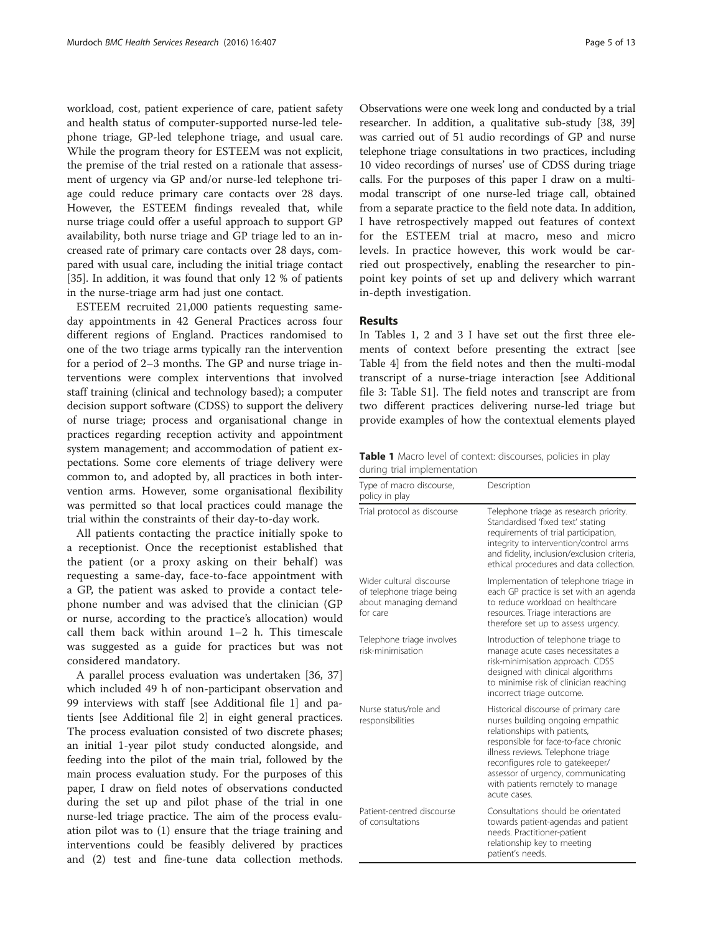<span id="page-4-0"></span>workload, cost, patient experience of care, patient safety and health status of computer-supported nurse-led telephone triage, GP-led telephone triage, and usual care. While the program theory for ESTEEM was not explicit, the premise of the trial rested on a rationale that assessment of urgency via GP and/or nurse-led telephone triage could reduce primary care contacts over 28 days. However, the ESTEEM findings revealed that, while nurse triage could offer a useful approach to support GP availability, both nurse triage and GP triage led to an increased rate of primary care contacts over 28 days, compared with usual care, including the initial triage contact [[35\]](#page-12-0). In addition, it was found that only 12 % of patients in the nurse-triage arm had just one contact.

ESTEEM recruited 21,000 patients requesting sameday appointments in 42 General Practices across four different regions of England. Practices randomised to one of the two triage arms typically ran the intervention for a period of 2–3 months. The GP and nurse triage interventions were complex interventions that involved staff training (clinical and technology based); a computer decision support software (CDSS) to support the delivery of nurse triage; process and organisational change in practices regarding reception activity and appointment system management; and accommodation of patient expectations. Some core elements of triage delivery were common to, and adopted by, all practices in both intervention arms. However, some organisational flexibility was permitted so that local practices could manage the trial within the constraints of their day-to-day work.

All patients contacting the practice initially spoke to a receptionist. Once the receptionist established that the patient (or a proxy asking on their behalf) was requesting a same-day, face-to-face appointment with a GP, the patient was asked to provide a contact telephone number and was advised that the clinician (GP or nurse, according to the practice's allocation) would call them back within around 1–2 h. This timescale was suggested as a guide for practices but was not considered mandatory.

A parallel process evaluation was undertaken [[36, 37](#page-12-0)] which included 49 h of non-participant observation and 99 interviews with staff [see Additional file [1](#page-11-0)] and patients [see Additional file [2\]](#page-11-0) in eight general practices. The process evaluation consisted of two discrete phases; an initial 1-year pilot study conducted alongside, and feeding into the pilot of the main trial, followed by the main process evaluation study. For the purposes of this paper, I draw on field notes of observations conducted during the set up and pilot phase of the trial in one nurse-led triage practice. The aim of the process evaluation pilot was to (1) ensure that the triage training and interventions could be feasibly delivered by practices and (2) test and fine-tune data collection methods.

Observations were one week long and conducted by a trial researcher. In addition, a qualitative sub-study [\[38, 39](#page-12-0)] was carried out of 51 audio recordings of GP and nurse telephone triage consultations in two practices, including 10 video recordings of nurses' use of CDSS during triage calls. For the purposes of this paper I draw on a multimodal transcript of one nurse-led triage call, obtained from a separate practice to the field note data. In addition, I have retrospectively mapped out features of context for the ESTEEM trial at macro, meso and micro levels. In practice however, this work would be carried out prospectively, enabling the researcher to pinpoint key points of set up and delivery which warrant in-depth investigation.

### Results

In Tables 1, [2](#page-5-0) and [3](#page-5-0) I have set out the first three elements of context before presenting the extract [see Table [4\]](#page-6-0) from the field notes and then the multi-modal transcript of a nurse-triage interaction [see Additional file [3](#page-11-0): Table S1]. The field notes and transcript are from two different practices delivering nurse-led triage but provide examples of how the contextual elements played

Table 1 Macro level of context: discourses, policies in play during trial implementation

| Type of macro discourse,<br>policy in play                                                 | Description                                                                                                                                                                                                                                                                                                         |
|--------------------------------------------------------------------------------------------|---------------------------------------------------------------------------------------------------------------------------------------------------------------------------------------------------------------------------------------------------------------------------------------------------------------------|
| Trial protocol as discourse                                                                | Telephone triage as research priority.<br>Standardised 'fixed text' stating<br>requirements of trial participation,<br>integrity to intervention/control arms<br>and fidelity, inclusion/exclusion criteria,<br>ethical procedures and data collection.                                                             |
| Wider cultural discourse<br>of telephone triage being<br>about managing demand<br>for care | Implementation of telephone triage in<br>each GP practice is set with an agenda<br>to reduce workload on healthcare<br>resources. Triage interactions are<br>therefore set up to assess urgency.                                                                                                                    |
| Telephone triage involves<br>risk-minimisation                                             | Introduction of telephone triage to<br>manage acute cases necessitates a<br>risk-minimisation approach. CDSS<br>designed with clinical algorithms<br>to minimise risk of clinician reaching<br>incorrect triage outcome.                                                                                            |
| Nurse status/role and<br>responsibilities                                                  | Historical discourse of primary care<br>nurses building ongoing empathic<br>relationships with patients,<br>responsible for face-to-face chronic<br>illness reviews. Telephone triage<br>reconfigures role to gatekeeper/<br>assessor of urgency, communicating<br>with patients remotely to manage<br>acute cases. |
| Patient-centred discourse<br>of consultations                                              | Consultations should be orientated<br>towards patient-agendas and patient<br>needs. Practitioner-patient<br>relationship key to meeting<br>patient's needs.                                                                                                                                                         |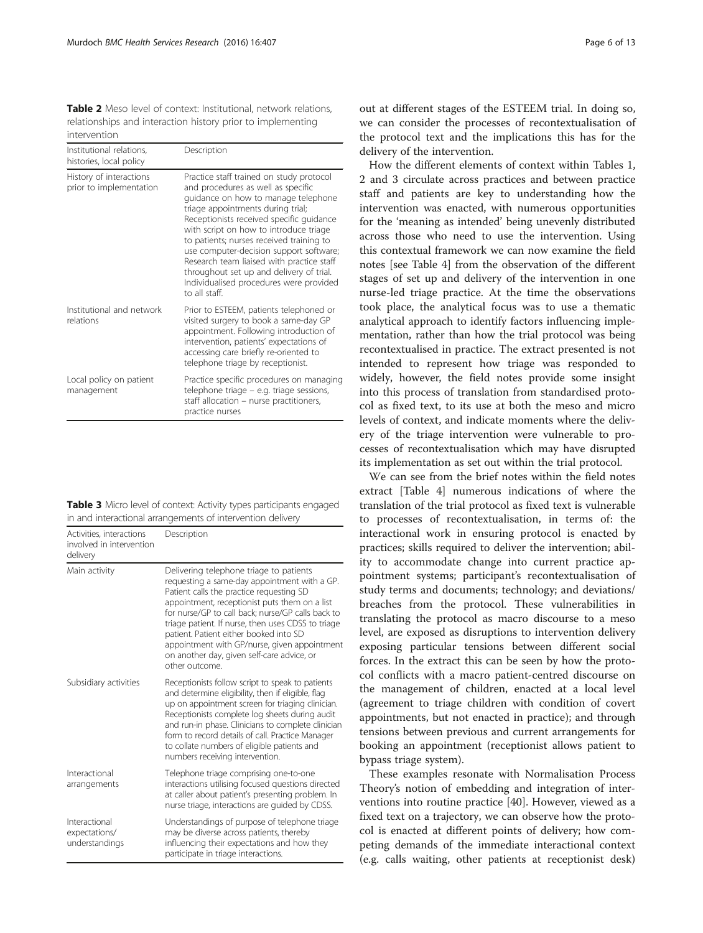<span id="page-5-0"></span>Table 2 Meso level of context: Institutional, network relations, relationships and interaction history prior to implementing intervention

| Institutional relations,<br>histories, local policy | Description                                                                                                                                                                                                                                                                                                                                                                                                                                                                                  |
|-----------------------------------------------------|----------------------------------------------------------------------------------------------------------------------------------------------------------------------------------------------------------------------------------------------------------------------------------------------------------------------------------------------------------------------------------------------------------------------------------------------------------------------------------------------|
| History of interactions<br>prior to implementation  | Practice staff trained on study protocol<br>and procedures as well as specific<br>guidance on how to manage telephone<br>triage appointments during trial;<br>Receptionists received specific quidance<br>with script on how to introduce triage<br>to patients; nurses received training to<br>use computer-decision support software;<br>Research team liaised with practice staff<br>throughout set up and delivery of trial.<br>Individualised procedures were provided<br>to all staff. |
| Institutional and network<br>relations              | Prior to ESTEEM, patients telephoned or<br>visited surgery to book a same-day GP<br>appointment. Following introduction of<br>intervention, patients' expectations of<br>accessing care briefly re-oriented to<br>telephone triage by receptionist.                                                                                                                                                                                                                                          |
| Local policy on patient<br>management               | Practice specific procedures on managing<br>telephone triage - e.g. triage sessions,<br>staff allocation - nurse practitioners,<br>practice nurses                                                                                                                                                                                                                                                                                                                                           |

|  | Table 3 Micro level of context: Activity types participants engaged |  |
|--|---------------------------------------------------------------------|--|
|  | in and interactional arrangements of intervention delivery          |  |

| Activities, interactions<br>involved in intervention<br>delivery | Description                                                                                                                                                                                                                                                                                                                                                                                                                                               |
|------------------------------------------------------------------|-----------------------------------------------------------------------------------------------------------------------------------------------------------------------------------------------------------------------------------------------------------------------------------------------------------------------------------------------------------------------------------------------------------------------------------------------------------|
| Main activity                                                    | Delivering telephone triage to patients<br>requesting a same-day appointment with a GP.<br>Patient calls the practice requesting SD<br>appointment, receptionist puts them on a list<br>for nurse/GP to call back; nurse/GP calls back to<br>triage patient. If nurse, then uses CDSS to triage<br>patient. Patient either booked into SD<br>appointment with GP/nurse, given appointment<br>on another day, given self-care advice, or<br>other outcome. |
| Subsidiary activities                                            | Receptionists follow script to speak to patients<br>and determine eligibility, then if eligible, flag<br>up on appointment screen for triaging clinician.<br>Receptionists complete log sheets during audit<br>and run-in phase. Clinicians to complete clinician<br>form to record details of call. Practice Manager<br>to collate numbers of eligible patients and<br>numbers receiving intervention.                                                   |
| Interactional<br>arrangements                                    | Telephone triage comprising one-to-one<br>interactions utilising focused questions directed<br>at caller about patient's presenting problem. In<br>nurse triage, interactions are guided by CDSS.                                                                                                                                                                                                                                                         |
| Interactional<br>expectations/<br>understandings                 | Understandings of purpose of telephone triage<br>may be diverse across patients, thereby<br>influencing their expectations and how they<br>participate in triage interactions.                                                                                                                                                                                                                                                                            |

out at different stages of the ESTEEM trial. In doing so, we can consider the processes of recontextualisation of the protocol text and the implications this has for the delivery of the intervention.

How the different elements of context within Tables [1](#page-4-0), 2 and 3 circulate across practices and between practice staff and patients are key to understanding how the intervention was enacted, with numerous opportunities for the 'meaning as intended' being unevenly distributed across those who need to use the intervention. Using this contextual framework we can now examine the field notes [see Table [4](#page-6-0)] from the observation of the different stages of set up and delivery of the intervention in one nurse-led triage practice. At the time the observations took place, the analytical focus was to use a thematic analytical approach to identify factors influencing implementation, rather than how the trial protocol was being recontextualised in practice. The extract presented is not intended to represent how triage was responded to widely, however, the field notes provide some insight into this process of translation from standardised protocol as fixed text, to its use at both the meso and micro levels of context, and indicate moments where the delivery of the triage intervention were vulnerable to processes of recontextualisation which may have disrupted its implementation as set out within the trial protocol.

We can see from the brief notes within the field notes extract [Table [4\]](#page-6-0) numerous indications of where the translation of the trial protocol as fixed text is vulnerable to processes of recontextualisation, in terms of: the interactional work in ensuring protocol is enacted by practices; skills required to deliver the intervention; ability to accommodate change into current practice appointment systems; participant's recontextualisation of study terms and documents; technology; and deviations/ breaches from the protocol. These vulnerabilities in translating the protocol as macro discourse to a meso level, are exposed as disruptions to intervention delivery exposing particular tensions between different social forces. In the extract this can be seen by how the protocol conflicts with a macro patient-centred discourse on the management of children, enacted at a local level (agreement to triage children with condition of covert appointments, but not enacted in practice); and through tensions between previous and current arrangements for booking an appointment (receptionist allows patient to bypass triage system).

These examples resonate with Normalisation Process Theory's notion of embedding and integration of interventions into routine practice [[40](#page-12-0)]. However, viewed as a fixed text on a trajectory, we can observe how the protocol is enacted at different points of delivery; how competing demands of the immediate interactional context (e.g. calls waiting, other patients at receptionist desk)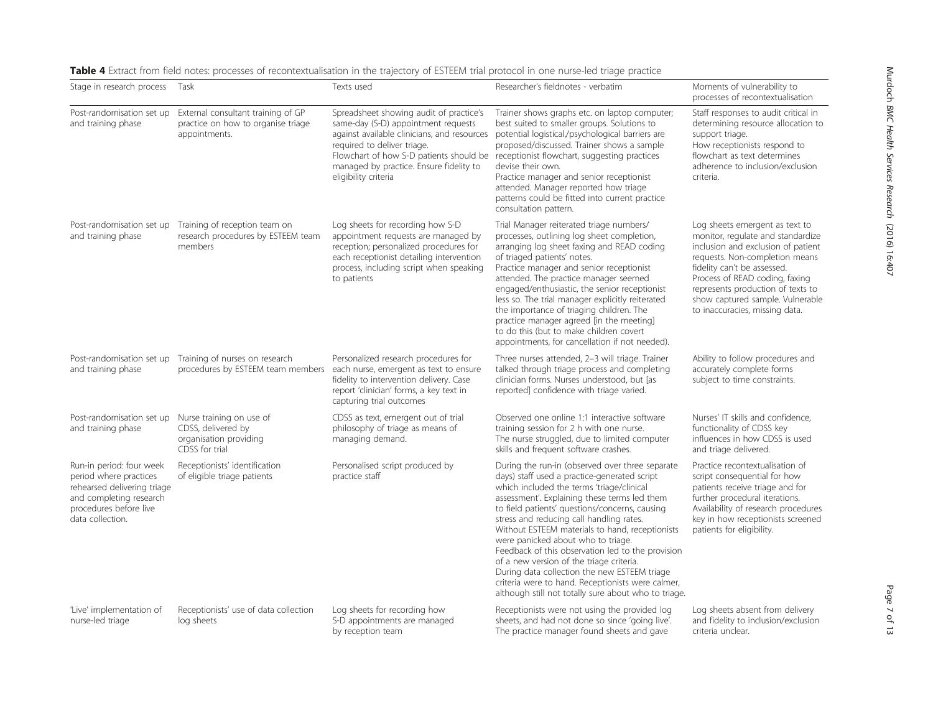| Stage in research process                                                                                                                                  | Task                                                                                       | Texts used                                                                                                                                                                                                                                                                 | Researcher's fieldnotes - verbatim                                                                                                                                                                                                                                                                                                                                                                                                                                                                                                                                                                                                                | Moments of vulnerability to<br>processes of recontextualisation                                                                                                                                                                                                                                                         |
|------------------------------------------------------------------------------------------------------------------------------------------------------------|--------------------------------------------------------------------------------------------|----------------------------------------------------------------------------------------------------------------------------------------------------------------------------------------------------------------------------------------------------------------------------|---------------------------------------------------------------------------------------------------------------------------------------------------------------------------------------------------------------------------------------------------------------------------------------------------------------------------------------------------------------------------------------------------------------------------------------------------------------------------------------------------------------------------------------------------------------------------------------------------------------------------------------------------|-------------------------------------------------------------------------------------------------------------------------------------------------------------------------------------------------------------------------------------------------------------------------------------------------------------------------|
| Post-randomisation set up<br>and training phase                                                                                                            | External consultant training of GP<br>practice on how to organise triage<br>appointments.  | Spreadsheet showing audit of practice's<br>same-day (S-D) appointment requests<br>against available clinicians, and resources<br>required to deliver triage.<br>Flowchart of how S-D patients should be<br>managed by practice. Ensure fidelity to<br>eligibility criteria | Trainer shows graphs etc. on laptop computer;<br>best suited to smaller groups. Solutions to<br>potential logistical,/psychological barriers are<br>proposed/discussed. Trainer shows a sample<br>receptionist flowchart, suggesting practices<br>devise their own.<br>Practice manager and senior receptionist<br>attended. Manager reported how triage<br>patterns could be fitted into current practice<br>consultation pattern.                                                                                                                                                                                                               | Staff responses to audit critical in<br>determining resource allocation to<br>support triage.<br>How receptionists respond to<br>flowchart as text determines<br>adherence to inclusion/exclusion<br>criteria.                                                                                                          |
| Post-randomisation set up<br>and training phase                                                                                                            | Training of reception team on<br>research procedures by ESTEEM team<br>members             | Log sheets for recording how S-D<br>appointment requests are managed by<br>reception; personalized procedures for<br>each receptionist detailing intervention<br>process, including script when speaking<br>to patients                                                    | Trial Manager reiterated triage numbers/<br>processes, outlining log sheet completion,<br>arranging log sheet faxing and READ coding<br>of triaged patients' notes.<br>Practice manager and senior receptionist<br>attended. The practice manager seemed<br>engaged/enthusiastic, the senior receptionist<br>less so. The trial manager explicitly reiterated<br>the importance of triaging children. The<br>practice manager agreed [in the meeting]<br>to do this (but to make children covert<br>appointments, for cancellation if not needed).                                                                                                | Log sheets emergent as text to<br>monitor, regulate and standardize<br>inclusion and exclusion of patient<br>requests. Non-completion means<br>fidelity can't be assessed.<br>Process of READ coding, faxing<br>represents production of texts to<br>show captured sample. Vulnerable<br>to inaccuracies, missing data. |
| Post-randomisation set up<br>and training phase                                                                                                            | Training of nurses on research<br>procedures by ESTEEM team members                        | Personalized research procedures for<br>each nurse, emergent as text to ensure<br>fidelity to intervention delivery. Case<br>report 'clinician' forms, a key text in<br>capturing trial outcomes                                                                           | Three nurses attended, 2-3 will triage. Trainer<br>talked through triage process and completing<br>clinician forms. Nurses understood, but [as<br>reported] confidence with triage varied.                                                                                                                                                                                                                                                                                                                                                                                                                                                        | Ability to follow procedures and<br>accurately complete forms<br>subject to time constraints.                                                                                                                                                                                                                           |
| Post-randomisation set up<br>and training phase                                                                                                            | Nurse training on use of<br>CDSS, delivered by<br>organisation providing<br>CDSS for trial | CDSS as text, emergent out of trial<br>philosophy of triage as means of<br>managing demand.                                                                                                                                                                                | Observed one online 1:1 interactive software<br>training session for 2 h with one nurse.<br>The nurse struggled, due to limited computer<br>skills and frequent software crashes.                                                                                                                                                                                                                                                                                                                                                                                                                                                                 | Nurses' IT skills and confidence,<br>functionality of CDSS key<br>influences in how CDSS is used<br>and triage delivered.                                                                                                                                                                                               |
| Run-in period: four week<br>period where practices<br>rehearsed delivering triage<br>and completing research<br>procedures before live<br>data collection. | Receptionists' identification<br>of eligible triage patients                               | Personalised script produced by<br>practice staff                                                                                                                                                                                                                          | During the run-in (observed over three separate<br>days) staff used a practice-generated script<br>which included the terms 'triage/clinical<br>assessment'. Explaining these terms led them<br>to field patients' questions/concerns, causing<br>stress and reducing call handling rates.<br>Without ESTEEM materials to hand, receptionists<br>were panicked about who to triage.<br>Feedback of this observation led to the provision<br>of a new version of the triage criteria.<br>During data collection the new ESTEEM triage<br>criteria were to hand. Receptionists were calmer,<br>although still not totally sure about who to triage. | Practice recontextualisation of<br>script consequential for how<br>patients receive triage and for<br>further procedural iterations.<br>Availability of research procedures<br>key in how receptionists screened<br>patients for eligibility.                                                                           |
| 'Live' implementation of<br>nurse-led triage                                                                                                               | Receptionists' use of data collection<br>log sheets                                        | Log sheets for recording how<br>S-D appointments are managed<br>by reception team                                                                                                                                                                                          | Receptionists were not using the provided log<br>sheets, and had not done so since 'going live'.<br>The practice manager found sheets and gave                                                                                                                                                                                                                                                                                                                                                                                                                                                                                                    | Log sheets absent from delivery<br>and fidelity to inclusion/exclusion<br>criteria unclear.                                                                                                                                                                                                                             |

<span id="page-6-0"></span>Table 4 Extract from field notes: processes of recontextualisation in the trajectory of ESTEEM trial protocol in one nurse-led triage practice

Page 7 of 13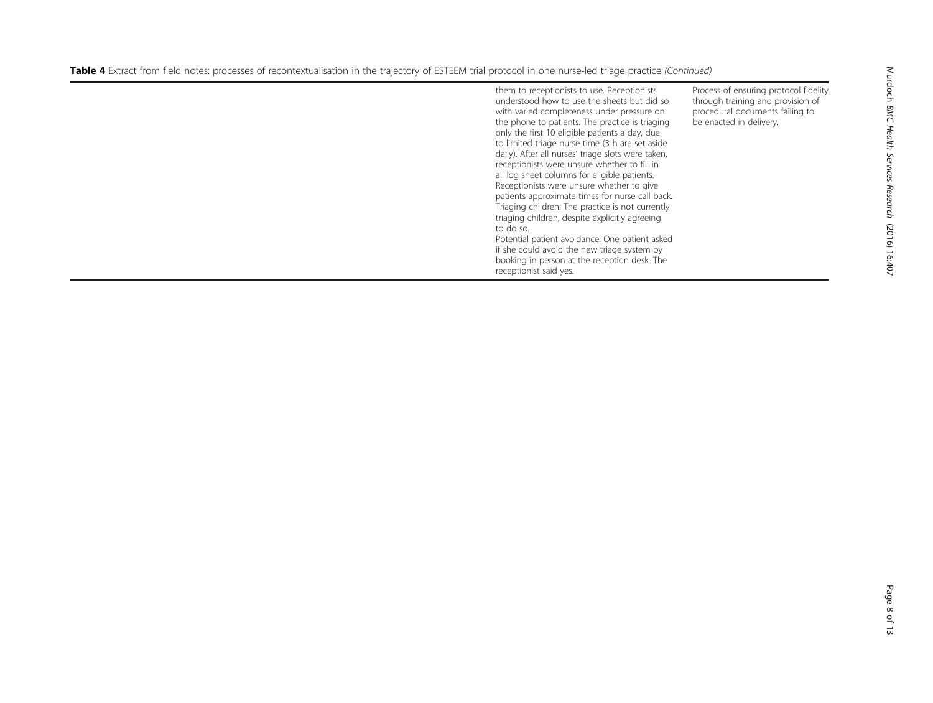Table 4 Extract from field notes: processes of recontextualisation in the trajectory of ESTEEM trial protocol in one nurse-led triage practice (Continued)

them to receptionists to use. Receptionists understood how to use the sheets but did so with varied completeness under pressure on the phone to patients. The practice is triaging only the first 10 eligible patients a day, due to limited triage nurse time (3 h are set aside daily). After all nurses' triage slots were taken, receptionists were unsure whether to fill in all log sheet columns for eligible patients. Receptionists were unsure whether to give patients approximate times for nurse call back. Triaging children: The practice is not currently triaging children, despite explicitly agreeing to do so. Potential patient avoidance: One patient asked if she could avoid the new triage system by booking in person at the reception desk. The receptionist said yes. Process of ensuring protocol fidelity through training and provision of procedural documents failing to be enacted in delivery.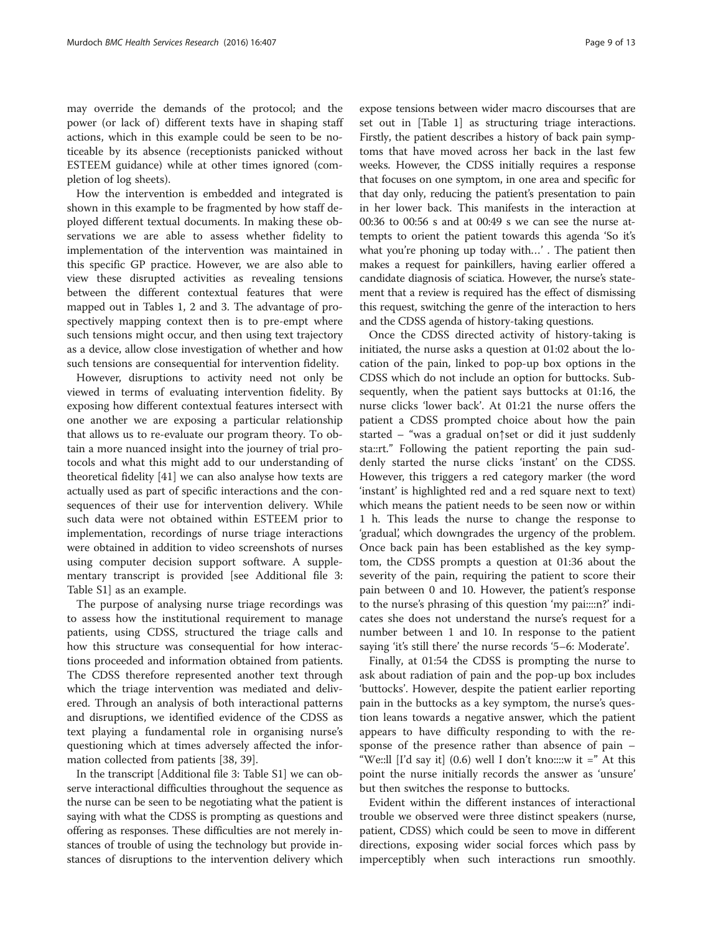may override the demands of the protocol; and the power (or lack of) different texts have in shaping staff actions, which in this example could be seen to be noticeable by its absence (receptionists panicked without ESTEEM guidance) while at other times ignored (completion of log sheets).

How the intervention is embedded and integrated is shown in this example to be fragmented by how staff deployed different textual documents. In making these observations we are able to assess whether fidelity to implementation of the intervention was maintained in this specific GP practice. However, we are also able to view these disrupted activities as revealing tensions between the different contextual features that were mapped out in Tables [1](#page-4-0), [2](#page-5-0) and [3](#page-5-0). The advantage of prospectively mapping context then is to pre-empt where such tensions might occur, and then using text trajectory as a device, allow close investigation of whether and how such tensions are consequential for intervention fidelity.

However, disruptions to activity need not only be viewed in terms of evaluating intervention fidelity. By exposing how different contextual features intersect with one another we are exposing a particular relationship that allows us to re-evaluate our program theory. To obtain a more nuanced insight into the journey of trial protocols and what this might add to our understanding of theoretical fidelity [[41](#page-12-0)] we can also analyse how texts are actually used as part of specific interactions and the consequences of their use for intervention delivery. While such data were not obtained within ESTEEM prior to implementation, recordings of nurse triage interactions were obtained in addition to video screenshots of nurses using computer decision support software. A supplementary transcript is provided [see Additional file [3](#page-11-0): Table S1] as an example.

The purpose of analysing nurse triage recordings was to assess how the institutional requirement to manage patients, using CDSS, structured the triage calls and how this structure was consequential for how interactions proceeded and information obtained from patients. The CDSS therefore represented another text through which the triage intervention was mediated and delivered. Through an analysis of both interactional patterns and disruptions, we identified evidence of the CDSS as text playing a fundamental role in organising nurse's questioning which at times adversely affected the information collected from patients [[38, 39\]](#page-12-0).

In the transcript [Additional file [3](#page-11-0): Table S1] we can observe interactional difficulties throughout the sequence as the nurse can be seen to be negotiating what the patient is saying with what the CDSS is prompting as questions and offering as responses. These difficulties are not merely instances of trouble of using the technology but provide instances of disruptions to the intervention delivery which

expose tensions between wider macro discourses that are set out in [Table [1](#page-4-0)] as structuring triage interactions. Firstly, the patient describes a history of back pain symptoms that have moved across her back in the last few weeks. However, the CDSS initially requires a response that focuses on one symptom, in one area and specific for that day only, reducing the patient's presentation to pain in her lower back. This manifests in the interaction at 00:36 to 00:56 s and at 00:49 s we can see the nurse attempts to orient the patient towards this agenda 'So it's what you're phoning up today with…' . The patient then makes a request for painkillers, having earlier offered a candidate diagnosis of sciatica. However, the nurse's statement that a review is required has the effect of dismissing this request, switching the genre of the interaction to hers and the CDSS agenda of history-taking questions.

Once the CDSS directed activity of history-taking is initiated, the nurse asks a question at 01:02 about the location of the pain, linked to pop-up box options in the CDSS which do not include an option for buttocks. Subsequently, when the patient says buttocks at 01:16, the nurse clicks 'lower back'. At 01:21 the nurse offers the patient a CDSS prompted choice about how the pain started – "was a gradual on↑set or did it just suddenly sta::rt." Following the patient reporting the pain suddenly started the nurse clicks 'instant' on the CDSS. However, this triggers a red category marker (the word 'instant' is highlighted red and a red square next to text) which means the patient needs to be seen now or within 1 h. This leads the nurse to change the response to 'gradual', which downgrades the urgency of the problem. Once back pain has been established as the key symptom, the CDSS prompts a question at 01:36 about the severity of the pain, requiring the patient to score their pain between 0 and 10. However, the patient's response to the nurse's phrasing of this question 'my pai::::n?' indicates she does not understand the nurse's request for a number between 1 and 10. In response to the patient saying 'it's still there' the nurse records '5–6: Moderate'.

Finally, at 01:54 the CDSS is prompting the nurse to ask about radiation of pain and the pop-up box includes 'buttocks'. However, despite the patient earlier reporting pain in the buttocks as a key symptom, the nurse's question leans towards a negative answer, which the patient appears to have difficulty responding to with the response of the presence rather than absence of pain – "We::ll [I'd say it]  $(0.6)$  well I don't kno::::w it =" At this point the nurse initially records the answer as 'unsure' but then switches the response to buttocks.

Evident within the different instances of interactional trouble we observed were three distinct speakers (nurse, patient, CDSS) which could be seen to move in different directions, exposing wider social forces which pass by imperceptibly when such interactions run smoothly.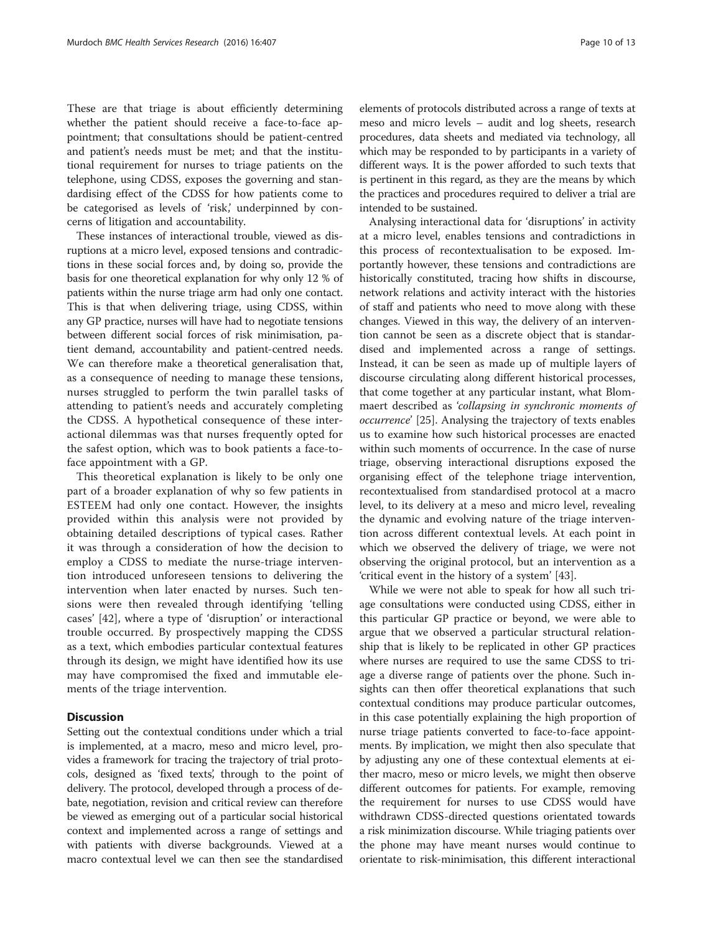These are that triage is about efficiently determining whether the patient should receive a face-to-face appointment; that consultations should be patient-centred and patient's needs must be met; and that the institutional requirement for nurses to triage patients on the telephone, using CDSS, exposes the governing and standardising effect of the CDSS for how patients come to be categorised as levels of 'risk', underpinned by concerns of litigation and accountability.

These instances of interactional trouble, viewed as disruptions at a micro level, exposed tensions and contradictions in these social forces and, by doing so, provide the basis for one theoretical explanation for why only 12 % of patients within the nurse triage arm had only one contact. This is that when delivering triage, using CDSS, within any GP practice, nurses will have had to negotiate tensions between different social forces of risk minimisation, patient demand, accountability and patient-centred needs. We can therefore make a theoretical generalisation that, as a consequence of needing to manage these tensions, nurses struggled to perform the twin parallel tasks of attending to patient's needs and accurately completing the CDSS. A hypothetical consequence of these interactional dilemmas was that nurses frequently opted for the safest option, which was to book patients a face-toface appointment with a GP.

This theoretical explanation is likely to be only one part of a broader explanation of why so few patients in ESTEEM had only one contact. However, the insights provided within this analysis were not provided by obtaining detailed descriptions of typical cases. Rather it was through a consideration of how the decision to employ a CDSS to mediate the nurse-triage intervention introduced unforeseen tensions to delivering the intervention when later enacted by nurses. Such tensions were then revealed through identifying 'telling cases' [[42\]](#page-12-0), where a type of 'disruption' or interactional trouble occurred. By prospectively mapping the CDSS as a text, which embodies particular contextual features through its design, we might have identified how its use may have compromised the fixed and immutable elements of the triage intervention.

# **Discussion**

Setting out the contextual conditions under which a trial is implemented, at a macro, meso and micro level, provides a framework for tracing the trajectory of trial protocols, designed as 'fixed texts', through to the point of delivery. The protocol, developed through a process of debate, negotiation, revision and critical review can therefore be viewed as emerging out of a particular social historical context and implemented across a range of settings and with patients with diverse backgrounds. Viewed at a macro contextual level we can then see the standardised elements of protocols distributed across a range of texts at meso and micro levels – audit and log sheets, research procedures, data sheets and mediated via technology, all which may be responded to by participants in a variety of different ways. It is the power afforded to such texts that is pertinent in this regard, as they are the means by which the practices and procedures required to deliver a trial are intended to be sustained.

Analysing interactional data for 'disruptions' in activity at a micro level, enables tensions and contradictions in this process of recontextualisation to be exposed. Importantly however, these tensions and contradictions are historically constituted, tracing how shifts in discourse, network relations and activity interact with the histories of staff and patients who need to move along with these changes. Viewed in this way, the delivery of an intervention cannot be seen as a discrete object that is standardised and implemented across a range of settings. Instead, it can be seen as made up of multiple layers of discourse circulating along different historical processes, that come together at any particular instant, what Blommaert described as 'collapsing in synchronic moments of occurrence' [[25\]](#page-12-0). Analysing the trajectory of texts enables us to examine how such historical processes are enacted within such moments of occurrence. In the case of nurse triage, observing interactional disruptions exposed the organising effect of the telephone triage intervention, recontextualised from standardised protocol at a macro level, to its delivery at a meso and micro level, revealing the dynamic and evolving nature of the triage intervention across different contextual levels. At each point in which we observed the delivery of triage, we were not observing the original protocol, but an intervention as a 'critical event in the history of a system' [\[43](#page-12-0)].

While we were not able to speak for how all such triage consultations were conducted using CDSS, either in this particular GP practice or beyond, we were able to argue that we observed a particular structural relationship that is likely to be replicated in other GP practices where nurses are required to use the same CDSS to triage a diverse range of patients over the phone. Such insights can then offer theoretical explanations that such contextual conditions may produce particular outcomes, in this case potentially explaining the high proportion of nurse triage patients converted to face-to-face appointments. By implication, we might then also speculate that by adjusting any one of these contextual elements at either macro, meso or micro levels, we might then observe different outcomes for patients. For example, removing the requirement for nurses to use CDSS would have withdrawn CDSS-directed questions orientated towards a risk minimization discourse. While triaging patients over the phone may have meant nurses would continue to orientate to risk-minimisation, this different interactional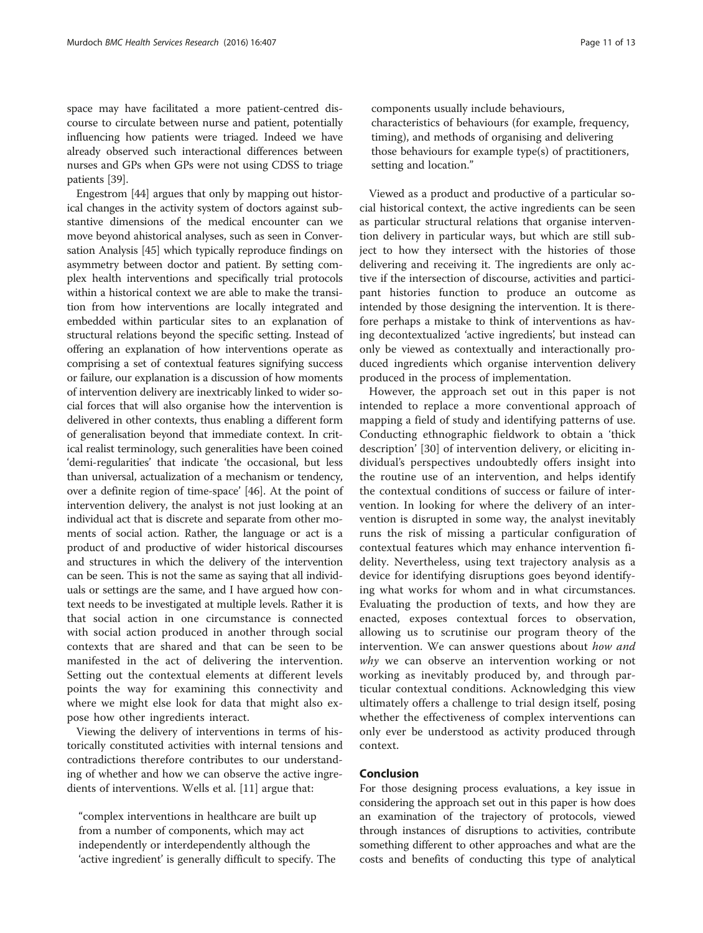space may have facilitated a more patient-centred discourse to circulate between nurse and patient, potentially influencing how patients were triaged. Indeed we have already observed such interactional differences between nurses and GPs when GPs were not using CDSS to triage patients [[39\]](#page-12-0).

Engestrom [\[44\]](#page-12-0) argues that only by mapping out historical changes in the activity system of doctors against substantive dimensions of the medical encounter can we move beyond ahistorical analyses, such as seen in Conversation Analysis [\[45\]](#page-12-0) which typically reproduce findings on asymmetry between doctor and patient. By setting complex health interventions and specifically trial protocols within a historical context we are able to make the transition from how interventions are locally integrated and embedded within particular sites to an explanation of structural relations beyond the specific setting. Instead of offering an explanation of how interventions operate as comprising a set of contextual features signifying success or failure, our explanation is a discussion of how moments of intervention delivery are inextricably linked to wider social forces that will also organise how the intervention is delivered in other contexts, thus enabling a different form of generalisation beyond that immediate context. In critical realist terminology, such generalities have been coined 'demi-regularities' that indicate 'the occasional, but less than universal, actualization of a mechanism or tendency, over a definite region of time-space' [\[46\]](#page-12-0). At the point of intervention delivery, the analyst is not just looking at an individual act that is discrete and separate from other moments of social action. Rather, the language or act is a product of and productive of wider historical discourses and structures in which the delivery of the intervention can be seen. This is not the same as saying that all individuals or settings are the same, and I have argued how context needs to be investigated at multiple levels. Rather it is that social action in one circumstance is connected with social action produced in another through social contexts that are shared and that can be seen to be manifested in the act of delivering the intervention. Setting out the contextual elements at different levels points the way for examining this connectivity and where we might else look for data that might also expose how other ingredients interact.

Viewing the delivery of interventions in terms of historically constituted activities with internal tensions and contradictions therefore contributes to our understanding of whether and how we can observe the active ingredients of interventions. Wells et al. [\[11\]](#page-11-0) argue that:

"complex interventions in healthcare are built up from a number of components, which may act independently or interdependently although the 'active ingredient' is generally difficult to specify. The components usually include behaviours, characteristics of behaviours (for example, frequency, timing), and methods of organising and delivering those behaviours for example type(s) of practitioners, setting and location."

Viewed as a product and productive of a particular social historical context, the active ingredients can be seen as particular structural relations that organise intervention delivery in particular ways, but which are still subject to how they intersect with the histories of those delivering and receiving it. The ingredients are only active if the intersection of discourse, activities and participant histories function to produce an outcome as intended by those designing the intervention. It is therefore perhaps a mistake to think of interventions as having decontextualized 'active ingredients', but instead can only be viewed as contextually and interactionally produced ingredients which organise intervention delivery produced in the process of implementation.

However, the approach set out in this paper is not intended to replace a more conventional approach of mapping a field of study and identifying patterns of use. Conducting ethnographic fieldwork to obtain a 'thick description' [\[30\]](#page-12-0) of intervention delivery, or eliciting individual's perspectives undoubtedly offers insight into the routine use of an intervention, and helps identify the contextual conditions of success or failure of intervention. In looking for where the delivery of an intervention is disrupted in some way, the analyst inevitably runs the risk of missing a particular configuration of contextual features which may enhance intervention fidelity. Nevertheless, using text trajectory analysis as a device for identifying disruptions goes beyond identifying what works for whom and in what circumstances. Evaluating the production of texts, and how they are enacted, exposes contextual forces to observation, allowing us to scrutinise our program theory of the intervention. We can answer questions about how and why we can observe an intervention working or not working as inevitably produced by, and through particular contextual conditions. Acknowledging this view ultimately offers a challenge to trial design itself, posing whether the effectiveness of complex interventions can only ever be understood as activity produced through context.

### Conclusion

For those designing process evaluations, a key issue in considering the approach set out in this paper is how does an examination of the trajectory of protocols, viewed through instances of disruptions to activities, contribute something different to other approaches and what are the costs and benefits of conducting this type of analytical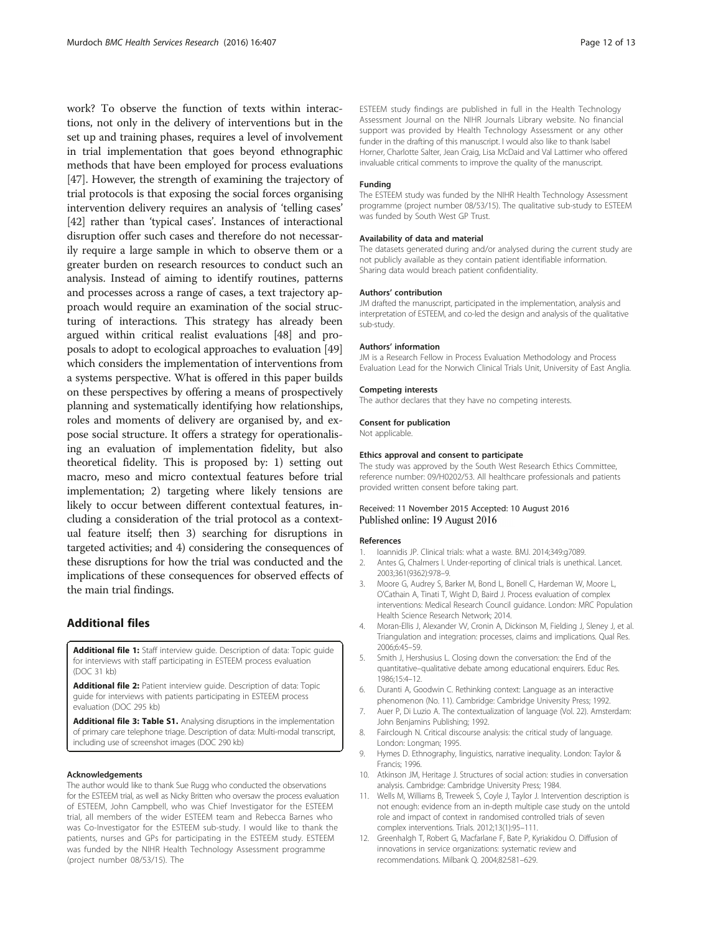<span id="page-11-0"></span>work? To observe the function of texts within interactions, not only in the delivery of interventions but in the set up and training phases, requires a level of involvement in trial implementation that goes beyond ethnographic methods that have been employed for process evaluations [[47](#page-12-0)]. However, the strength of examining the trajectory of trial protocols is that exposing the social forces organising intervention delivery requires an analysis of 'telling cases' [[42](#page-12-0)] rather than 'typical cases'. Instances of interactional disruption offer such cases and therefore do not necessarily require a large sample in which to observe them or a greater burden on research resources to conduct such an analysis. Instead of aiming to identify routines, patterns and processes across a range of cases, a text trajectory approach would require an examination of the social structuring of interactions. This strategy has already been argued within critical realist evaluations [\[48\]](#page-12-0) and proposals to adopt to ecological approaches to evaluation [[49](#page-12-0)] which considers the implementation of interventions from a systems perspective. What is offered in this paper builds on these perspectives by offering a means of prospectively planning and systematically identifying how relationships, roles and moments of delivery are organised by, and expose social structure. It offers a strategy for operationalising an evaluation of implementation fidelity, but also theoretical fidelity. This is proposed by: 1) setting out macro, meso and micro contextual features before trial implementation; 2) targeting where likely tensions are likely to occur between different contextual features, including a consideration of the trial protocol as a contextual feature itself; then 3) searching for disruptions in targeted activities; and 4) considering the consequences of these disruptions for how the trial was conducted and the implications of these consequences for observed effects of the main trial findings.

# Additional files

[Additional file 1:](dx.doi.org/10.1186/s12913-016-1651-8) Staff interview quide. Description of data: Topic quide for interviews with staff participating in ESTEEM process evaluation (DOC 31 kb)

[Additional file 2:](dx.doi.org/10.1186/s12913-016-1651-8) Patient interview guide. Description of data: Topic guide for interviews with patients participating in ESTEEM process evaluation (DOC 295 kb)

[Additional file 3: Table S1.](dx.doi.org/10.1186/s12913-016-1651-8) Analysing disruptions in the implementation of primary care telephone triage. Description of data: Multi-modal transcript, including use of screenshot images (DOC 290 kb)

#### Acknowledgements

The author would like to thank Sue Rugg who conducted the observations for the ESTEEM trial, as well as Nicky Britten who oversaw the process evaluation of ESTEEM, John Campbell, who was Chief Investigator for the ESTEEM trial, all members of the wider ESTEEM team and Rebecca Barnes who was Co-Investigator for the ESTEEM sub-study. I would like to thank the patients, nurses and GPs for participating in the ESTEEM study. ESTEEM was funded by the NIHR Health Technology Assessment programme (project number 08/53/15). The

ESTEEM study findings are published in full in the Health Technology Assessment Journal on the NIHR Journals Library website. No financial support was provided by Health Technology Assessment or any other funder in the drafting of this manuscript. I would also like to thank Isabel Horner, Charlotte Salter, Jean Craig, Lisa McDaid and Val Lattimer who offered invaluable critical comments to improve the quality of the manuscript.

#### Funding

The ESTEEM study was funded by the NIHR Health Technology Assessment programme (project number 08/53/15). The qualitative sub-study to ESTEEM was funded by South West GP Trust.

#### Availability of data and material

The datasets generated during and/or analysed during the current study are not publicly available as they contain patient identifiable information. Sharing data would breach patient confidentiality.

#### Authors' contribution

JM drafted the manuscript, participated in the implementation, analysis and interpretation of ESTEEM, and co-led the design and analysis of the qualitative sub-study.

#### Authors' information

JM is a Research Fellow in Process Evaluation Methodology and Process Evaluation Lead for the Norwich Clinical Trials Unit, University of East Anglia.

#### Competing interests

The author declares that they have no competing interests.

#### Consent for publication

Not applicable.

#### Ethics approval and consent to participate

The study was approved by the South West Research Ethics Committee, reference number: 09/H0202/53. All healthcare professionals and patients provided written consent before taking part.

### Received: 11 November 2015 Accepted: 10 August 2016 Published online: 19 August 2016

#### References

- 1. Ioannidis JP. Clinical trials: what a waste. BMJ. 2014;349:g7089.
- 2. Antes G, Chalmers I. Under-reporting of clinical trials is unethical. Lancet. 2003;361(9362):978–9.
- 3. Moore G, Audrey S, Barker M, Bond L, Bonell C, Hardeman W, Moore L, O'Cathain A, Tinati T, Wight D, Baird J. Process evaluation of complex interventions: Medical Research Council guidance. London: MRC Population Health Science Research Network; 2014.
- 4. Moran-Ellis J, Alexander VV, Cronin A, Dickinson M, Fielding J, Sleney J, et al. Triangulation and integration: processes, claims and implications. Qual Res. 2006;6:45–59.
- 5. Smith J, Hershusius L. Closing down the conversation: the End of the quantitative–qualitative debate among educational enquirers. Educ Res. 1986;15:4–12.
- 6. Duranti A, Goodwin C. Rethinking context: Language as an interactive phenomenon (No. 11). Cambridge: Cambridge University Press; 1992.
- 7. Auer P, Di Luzio A. The contextualization of language (Vol. 22). Amsterdam: John Benjamins Publishing; 1992.
- 8. Fairclough N. Critical discourse analysis: the critical study of language. London: Longman; 1995.
- 9. Hymes D. Ethnography, linguistics, narrative inequality. London: Taylor & Francis; 1996.
- 10. Atkinson JM, Heritage J. Structures of social action: studies in conversation analysis. Cambridge: Cambridge University Press; 1984.
- 11. Wells M, Williams B, Treweek S, Coyle J, Taylor J. Intervention description is not enough: evidence from an in-depth multiple case study on the untold role and impact of context in randomised controlled trials of seven complex interventions. Trials. 2012;13(1):95–111.
- 12. Greenhalgh T, Robert G, Macfarlane F, Bate P, Kyriakidou O. Diffusion of innovations in service organizations: systematic review and recommendations. Milbank Q. 2004;82:581–629.